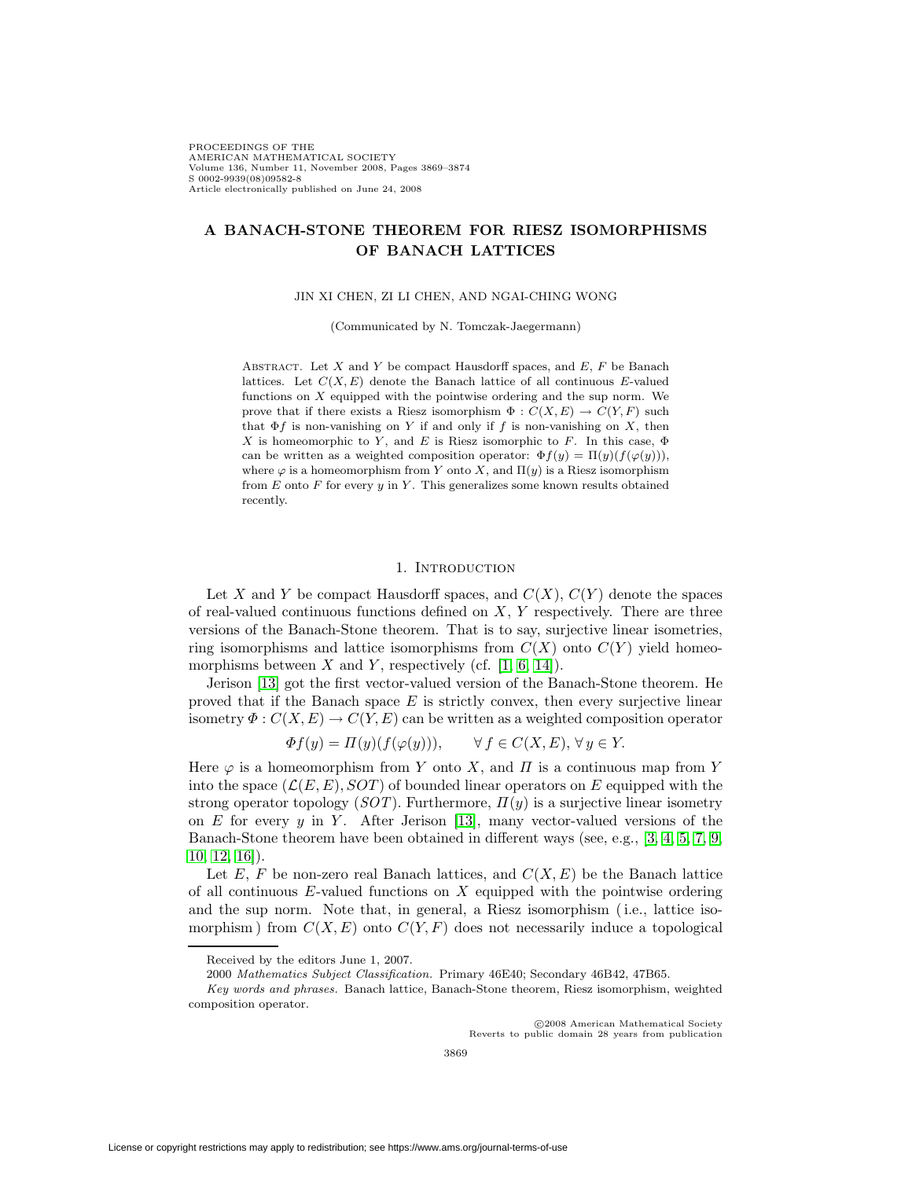PROCEEDINGS OF THE AMERICAN MATHEMATICAL SOCIETY Volume 136, Number 11, November 2008, Pages 3869–3874 S 0002-9939(08)09582-8 Article electronically published on June 24, 2008

# **A BANACH-STONE THEOREM FOR RIESZ ISOMORPHISMS OF BANACH LATTICES**

JIN XI CHEN, ZI LI CHEN, AND NGAI-CHING WONG

(Communicated by N. Tomczak-Jaegermann)

ABSTRACT. Let  $X$  and  $Y$  be compact Hausdorff spaces, and  $E$ ,  $F$  be Banach lattices. Let  $C(X, E)$  denote the Banach lattice of all continuous E-valued functions on  $X$  equipped with the pointwise ordering and the sup norm. We prove that if there exists a Riesz isomorphism  $\Phi: C(X, E) \to C(Y, F)$  such that  $\Phi f$  is non-vanishing on Y if and only if f is non-vanishing on X, then X is homeomorphic to Y, and E is Riesz isomorphic to F. In this case,  $\Phi$ can be written as a weighted composition operator:  $\Phi f(y) = \Pi(y)(f(\varphi(y))),$ where  $\varphi$  is a homeomorphism from Y onto X, and  $\Pi(y)$  is a Riesz isomorphism from  $E$  onto  $F$  for every  $y$  in  $Y$ . This generalizes some known results obtained recently.

### 1. INTRODUCTION

Let X and Y be compact Hausdorff spaces, and  $C(X)$ ,  $C(Y)$  denote the spaces of real-valued continuous functions defined on  $X, Y$  respectively. There are three versions of the Banach-Stone theorem. That is to say, surjective linear isometries, ring isomorphisms and lattice isomorphisms from  $C(X)$  onto  $C(Y)$  yield homeomorphisms between X and Y, respectively (cf.  $[1, 6, 14]$  $[1, 6, 14]$  $[1, 6, 14]$ ).

Jerison [\[13\]](#page-5-3) got the first vector-valued version of the Banach-Stone theorem. He proved that if the Banach space  $E$  is strictly convex, then every surjective linear isometry  $\Phi: C(X, E) \to C(Y, E)$  can be written as a weighted composition operator

$$
\Phi f(y) = \Pi(y)(f(\varphi(y))), \qquad \forall f \in C(X, E), \forall y \in Y.
$$

Here  $\varphi$  is a homeomorphism from Y onto X, and  $\Pi$  is a continuous map from Y into the space  $(\mathcal{L}(E,E), SOT)$  of bounded linear operators on E equipped with the strong operator topology  $(SOT)$ . Furthermore,  $\Pi(y)$  is a surjective linear isometry on E for every  $y$  in Y. After Jerison [\[13\]](#page-5-3), many vector-valued versions of the Banach-Stone theorem have been obtained in different ways (see, e.g., [\[3,](#page-5-4) [4,](#page-5-5) [5,](#page-5-6) [7,](#page-5-7) [9,](#page-5-8) [10,](#page-5-9) [12,](#page-5-10) [16\]](#page-5-11)).

Let E, F be non-zero real Banach lattices, and  $C(X, E)$  be the Banach lattice of all continuous  $E$ -valued functions on  $X$  equipped with the pointwise ordering and the sup norm. Note that, in general, a Riesz isomorphism (i.e., lattice isomorphism) from  $C(X, E)$  onto  $C(Y, F)$  does not necessarily induce a topological

c 2008 American Mathematical Society Reverts to public domain 28 years from publication

Received by the editors June 1, 2007.

<sup>2000</sup> Mathematics Subject Classification. Primary 46E40; Secondary 46B42, 47B65.

Key words and phrases. Banach lattice, Banach-Stone theorem, Riesz isomorphism, weighted composition operator.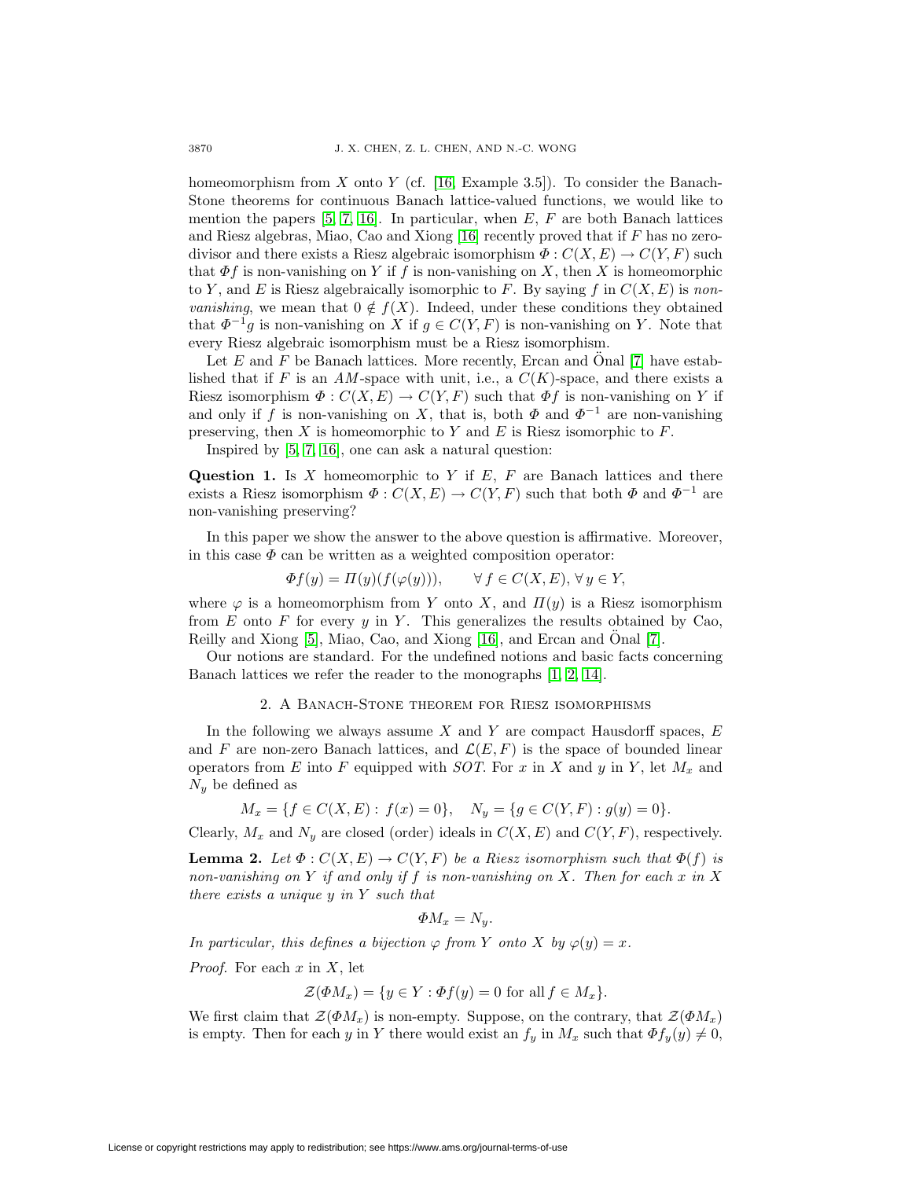homeomorphism from X onto Y (cf. [\[16,](#page-5-11) Example 3.5]). To consider the Banach-Stone theorems for continuous Banach lattice-valued functions, we would like to mention the papers  $[5, 7, 16]$  $[5, 7, 16]$  $[5, 7, 16]$ . In particular, when E, F are both Banach lattices and Riesz algebras, Miao, Cao and Xiong [\[16\]](#page-5-11) recently proved that if F has no zerodivisor and there exists a Riesz algebraic isomorphism  $\Phi: C(X, E) \to C(Y, F)$  such that  $\Phi f$  is non-vanishing on Y if f is non-vanishing on X, then X is homeomorphic to Y, and E is Riesz algebraically isomorphic to F. By saying f in  $C(X, E)$  is non*vanishing*, we mean that  $0 \notin f(X)$ . Indeed, under these conditions they obtained that  $\Phi^{-1}g$  is non-vanishing on X if  $g \in C(Y, F)$  is non-vanishing on Y. Note that every Riesz algebraic isomorphism must be a Riesz isomorphism.

Let E and F be Banach lattices. More recently, Ercan and Onal  $[7]$  have established that if F is an AM-space with unit, i.e., a  $C(K)$ -space, and there exists a Riesz isomorphism  $\Phi: C(X, E) \to C(Y, F)$  such that  $\Phi f$  is non-vanishing on Y if and only if f is non-vanishing on X, that is, both  $\Phi$  and  $\Phi^{-1}$  are non-vanishing preserving, then  $X$  is homeomorphic to  $Y$  and  $E$  is Riesz isomorphic to  $F$ .

Inspired by [\[5,](#page-5-6) [7,](#page-5-7) [16\]](#page-5-11), one can ask a natural question:

**Question 1.** Is X homeomorphic to Y if  $E$ ,  $F$  are Banach lattices and there exists a Riesz isomorphism  $\Phi: C(X, E) \to C(Y, F)$  such that both  $\Phi$  and  $\Phi^{-1}$  are non-vanishing preserving?

In this paper we show the answer to the above question is affirmative. Moreover, in this case  $\Phi$  can be written as a weighted composition operator:

$$
\Phi f(y) = \Pi(y)(f(\varphi(y))), \qquad \forall f \in C(X, E), \forall y \in Y,
$$

where  $\varphi$  is a homeomorphism from Y onto X, and  $\Pi(y)$  is a Riesz isomorphism from  $E$  onto  $F$  for every  $y$  in  $Y$ . This generalizes the results obtained by Cao, Reilly and Xiong [\[5\]](#page-5-6), Miao, Cao, and Xiong [\[16\]](#page-5-11), and Ercan and Onal [\[7\]](#page-5-7).

Our notions are standard. For the undefined notions and basic facts concerning Banach lattices we refer the reader to the monographs [\[1,](#page-5-0) [2,](#page-5-12) [14\]](#page-5-2).

### 2. A Banach-Stone theorem for Riesz isomorphisms

In the following we always assume X and Y are compact Hausdorff spaces,  $E$ and F are non-zero Banach lattices, and  $\mathcal{L}(E, F)$  is the space of bounded linear operators from E into F equipped with SOT. For x in X and y in Y, let  $M_x$  and  $N<sub>y</sub>$  be defined as

$$
M_x = \{ f \in C(X, E) : f(x) = 0 \}, \quad N_y = \{ g \in C(Y, F) : g(y) = 0 \}.
$$

<span id="page-1-0"></span>Clearly,  $M_x$  and  $N_y$  are closed (order) ideals in  $C(X, E)$  and  $C(Y, F)$ , respectively.

**Lemma 2.** Let  $\Phi: C(X, E) \to C(Y, F)$  be a Riesz isomorphism such that  $\Phi(f)$  is non-vanishing on Y if and only if f is non-vanishing on X. Then for each x in X there exists a unique  $y$  in  $Y$  such that

$$
\Phi M_x = N_y.
$$

In particular, this defines a bijection  $\varphi$  from Y onto X by  $\varphi(y) = x$ .

*Proof.* For each  $x$  in  $X$ , let

$$
\mathcal{Z}(\Phi M_x) = \{ y \in Y : \Phi f(y) = 0 \text{ for all } f \in M_x \}.
$$

We first claim that  $\mathcal{Z}(\Phi M_x)$  is non-empty. Suppose, on the contrary, that  $\mathcal{Z}(\Phi M_x)$ is empty. Then for each y in Y there would exist an  $f_y$  in  $M_x$  such that  $\Phi f_y(y) \neq 0$ ,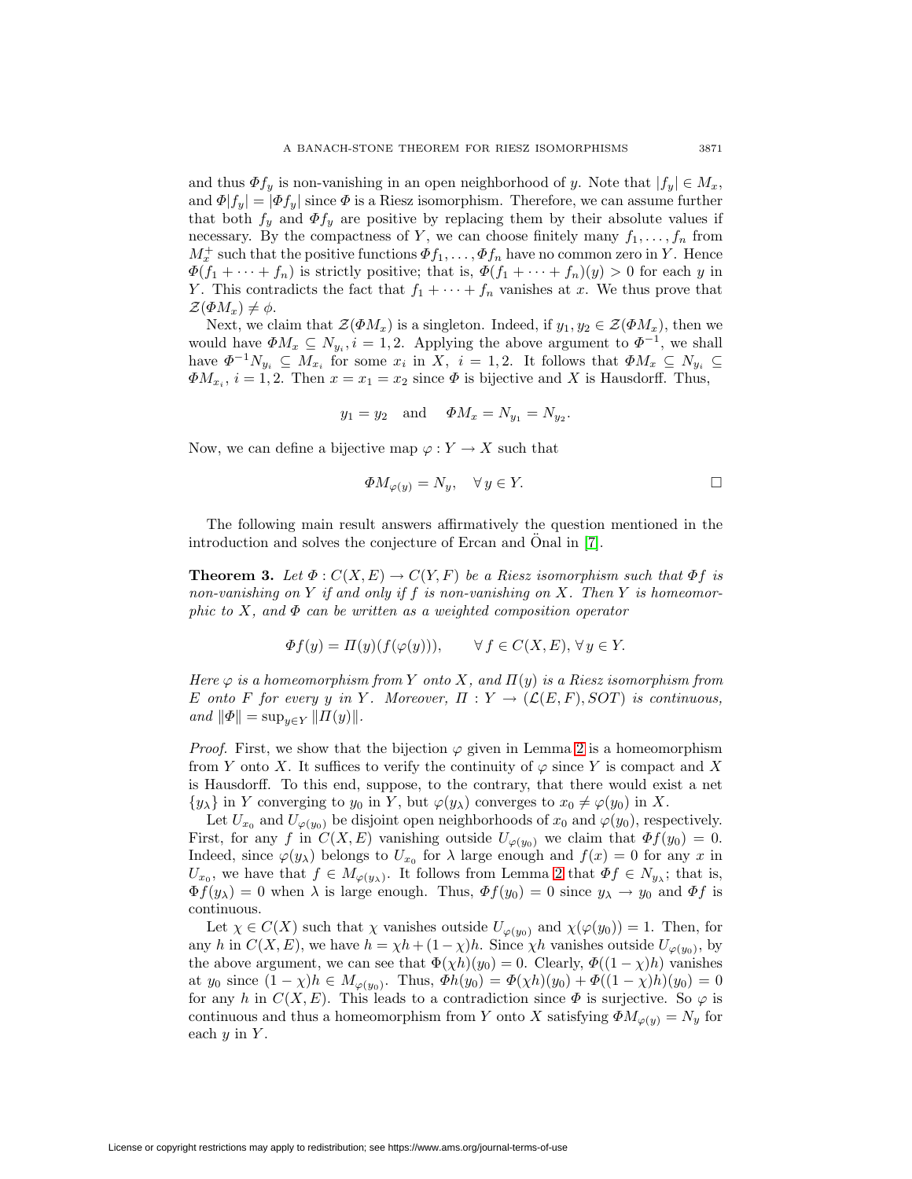and thus  $\Phi f_y$  is non-vanishing in an open neighborhood of y. Note that  $|f_y| \in M_x$ , and  $\Phi[f_y] = |\Phi f_y|$  since  $\Phi$  is a Riesz isomorphism. Therefore, we can assume further that both  $f_y$  and  $\Phi f_y$  are positive by replacing them by their absolute values if necessary. By the compactness of Y, we can choose finitely many  $f_1, \ldots, f_n$  from  $M_x^+$  such that the positive functions  $\Phi f_1, \ldots, \Phi f_n$  have no common zero in Y. Hence  $\Phi(f_1 + \cdots + f_n)$  is strictly positive; that is,  $\Phi(f_1 + \cdots + f_n)(y) > 0$  for each y in Y. This contradicts the fact that  $f_1 + \cdots + f_n$  vanishes at x. We thus prove that  $\mathcal{Z}(\Phi M_x) \neq \phi$ .

Next, we claim that  $\mathcal{Z}(\Phi M_x)$  is a singleton. Indeed, if  $y_1, y_2 \in \mathcal{Z}(\Phi M_x)$ , then we would have  $\Phi M_x \subseteq N_{y_i}, i = 1, 2$ . Applying the above argument to  $\Phi^{-1}$ , we shall have  $\Phi^{-1}N_{y_i} \subseteq M_{x_i}$  for some  $x_i$  in X,  $i = 1, 2$ . It follows that  $\Phi M_x \subseteq N_{y_i} \subseteq$  $\Phi M_{x_i}$ ,  $i = 1, 2$ . Then  $x = x_1 = x_2$  since  $\Phi$  is bijective and X is Hausdorff. Thus,

$$
y_1 = y_2
$$
 and  $\Phi M_x = N_{y_1} = N_{y_2}$ .

Now, we can define a bijective map  $\varphi: Y \to X$  such that

$$
\Phi M_{\varphi(y)} = N_y, \quad \forall \, y \in Y. \tag{}
$$

<span id="page-2-0"></span>The following main result answers affirmatively the question mentioned in the introduction and solves the conjecture of Ercan and Onal in [\[7\]](#page-5-7).

**Theorem 3.** Let  $\Phi: C(X, E) \to C(Y, F)$  be a Riesz isomorphism such that  $\Phi f$  is non-vanishing on Y if and only if f is non-vanishing on X. Then Y is homeomorphic to X, and  $\Phi$  can be written as a weighted composition operator

$$
\Phi f(y) = \Pi(y)(f(\varphi(y))), \qquad \forall f \in C(X, E), \forall y \in Y.
$$

Here  $\varphi$  is a homeomorphism from Y onto X, and  $\Pi(y)$  is a Riesz isomorphism from E onto F for every y in Y. Moreover,  $\Pi: Y \to (\mathcal{L}(E,F), SOT)$  is continuous, and  $\|\Phi\| = \sup_{y \in Y} \| \Pi(y) \|$ .

*Proof.* First, we show that the bijection  $\varphi$  given in Lemma [2](#page-1-0) is a homeomorphism from Y onto X. It suffices to verify the continuity of  $\varphi$  since Y is compact and X is Hausdorff. To this end, suppose, to the contrary, that there would exist a net  $\{y_\lambda\}$  in Y converging to  $y_0$  in Y, but  $\varphi(y_\lambda)$  converges to  $x_0 \neq \varphi(y_0)$  in X.

Let  $U_{x_0}$  and  $U_{\varphi(y_0)}$  be disjoint open neighborhoods of  $x_0$  and  $\varphi(y_0)$ , respectively. First, for any f in  $C(X, E)$  vanishing outside  $U_{\varphi(y_0)}$  we claim that  $\Phi f(y_0) = 0$ . Indeed, since  $\varphi(y_\lambda)$  belongs to  $U_{x_0}$  for  $\lambda$  large enough and  $f(x) = 0$  for any x in  $U_{x_0}$ , we have that  $f \in M_{\varphi(y_\lambda)}$ . It follows from Lemma [2](#page-1-0) that  $\Phi f \in N_{y_\lambda}$ ; that is,  $\Phi f(y_\lambda) = 0$  when  $\lambda$  is large enough. Thus,  $\Phi f(y_0) = 0$  since  $y_\lambda \to y_0$  and  $\Phi f$  is continuous.

Let  $\chi \in C(X)$  such that  $\chi$  vanishes outside  $U_{\varphi(y_0)}$  and  $\chi(\varphi(y_0)) = 1$ . Then, for any h in  $C(X, E)$ , we have  $h = \chi h + (1 - \chi)h$ . Since  $\chi h$  vanishes outside  $U_{\varphi(y_0)}$ , by the above argument, we can see that  $\Phi(\chi h)(y_0) = 0$ . Clearly,  $\Phi((1 - \chi)h)$  vanishes at  $y_0$  since  $(1 - \chi)h \in M_{\varphi(y_0)}$ . Thus,  $\Phi h(y_0) = \Phi(\chi h)(y_0) + \Phi((1 - \chi)h)(y_0) = 0$ for any h in  $C(X, E)$ . This leads to a contradiction since  $\Phi$  is surjective. So  $\varphi$  is continuous and thus a homeomorphism from Y onto X satisfying  $\Phi M_{\varphi(y)} = N_y$  for each  $y$  in  $Y$ .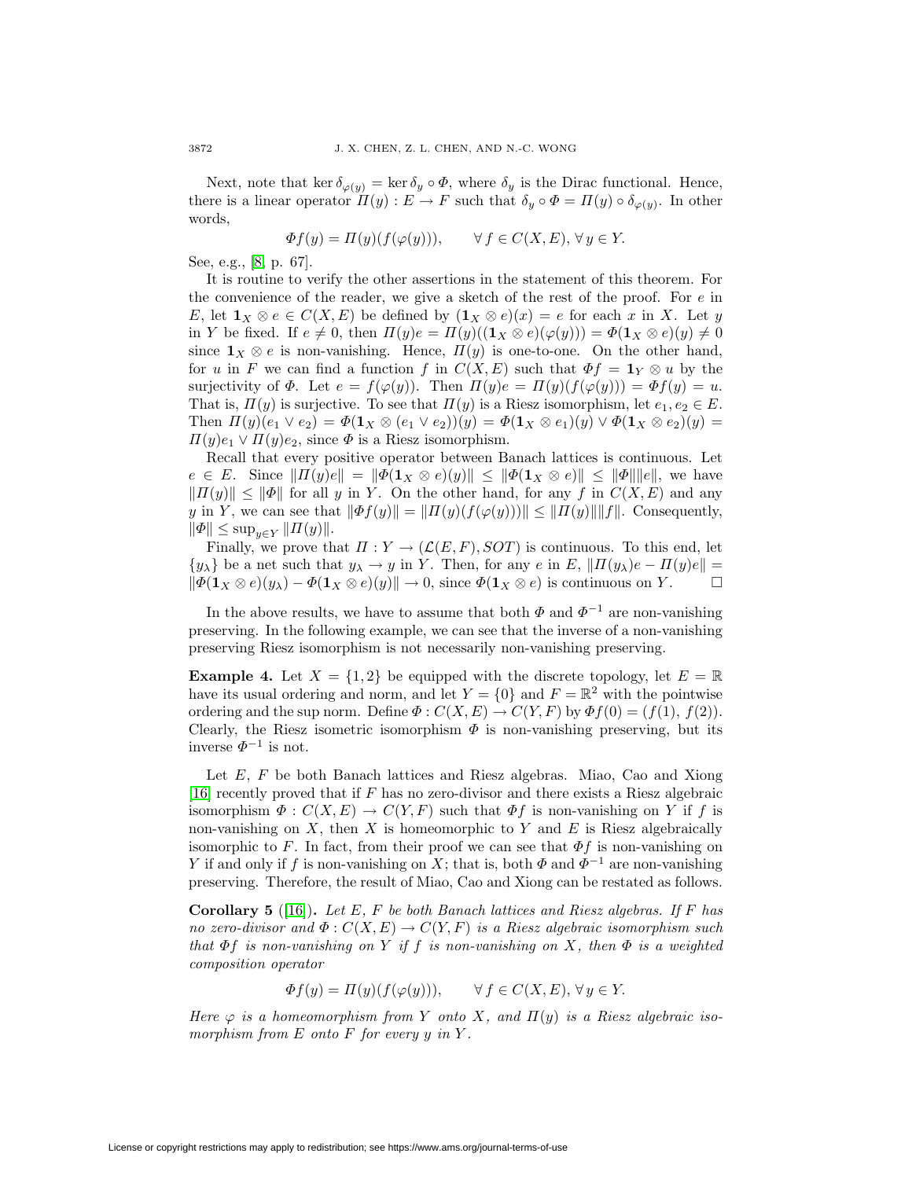Next, note that ker  $\delta_{\varphi(y)} = \ker \delta_y \circ \Phi$ , where  $\delta_y$  is the Dirac functional. Hence, there is a linear operator  $\Pi(y) : E \to F$  such that  $\delta_y \circ \Phi = \Pi(y) \circ \delta_{\varphi(y)}$ . In other words,

$$
\Phi f(y) = \Pi(y)(f(\varphi(y))), \qquad \forall f \in C(X, E), \forall y \in Y.
$$

See, e.g., [\[8,](#page-5-13) p. 67].

It is routine to verify the other assertions in the statement of this theorem. For the convenience of the reader, we give a sketch of the rest of the proof. For  $e$  in E, let  $\mathbf{1}_X \otimes e \in C(X, E)$  be defined by  $(\mathbf{1}_X \otimes e)(x) = e$  for each x in X. Let y in Y be fixed. If  $e \neq 0$ , then  $\Pi(y)e = \Pi(y)((\mathbf{1}_X \otimes e)(\varphi(y))) = \Phi(\mathbf{1}_X \otimes e)(y) \neq 0$ since  $\mathbf{1}_X \otimes e$  is non-vanishing. Hence,  $\Pi(y)$  is one-to-one. On the other hand, for u in F we can find a function f in  $C(X, E)$  such that  $\Phi f = \mathbf{1}_Y \otimes u$  by the surjectivity of  $\Phi$ . Let  $e = f(\varphi(y))$ . Then  $\Pi(y)e = \Pi(y)(f(\varphi(y))) = \Phi f(y) = u$ . That is,  $\Pi(y)$  is surjective. To see that  $\Pi(y)$  is a Riesz isomorphism, let  $e_1, e_2 \in E$ . Then  $\Pi(y)(e_1 \vee e_2) = \Phi(\mathbf{1}_X \otimes (e_1 \vee e_2))(y) = \Phi(\mathbf{1}_X \otimes e_1)(y) \vee \Phi(\mathbf{1}_X \otimes e_2)(y) =$  $\Pi(y)e_1 \vee \Pi(y)e_2$ , since  $\Phi$  is a Riesz isomorphism.

Recall that every positive operator between Banach lattices is continuous. Let  $e \in E$ . Since  $||\Pi(y)e|| = ||\Phi(\mathbf{1}_X \otimes e)(y)|| \leq ||\Phi(\mathbf{1}_X \otimes e)|| \leq ||\Phi|| ||e||$ , we have  $||H(y)|| \le ||\Phi||$  for all y in Y. On the other hand, for any f in  $C(X, E)$  and any y in Y, we can see that  $\|\Phi f(y)\| = \|H(y)(f(\varphi(y)))\| \le \|H(y)\| \|f\|$ . Consequently,  $\|\Phi\| \leq \sup_{y \in Y} \|H(y)\|.$ 

Finally, we prove that  $\Pi: Y \to (\mathcal{L}(E, F), SOT)$  is continuous. To this end, let  $\{y_\lambda\}$  be a net such that  $y_\lambda \to y$  in Y. Then, for any e in E,  $||H(y_\lambda)e - H(y)e|| =$  $\|\Phi(\mathbf{1}_X \otimes e)(y_\lambda) - \Phi(\mathbf{1}_X \otimes e)(y)\| \to 0$ , since  $\Phi(\mathbf{1}_X \otimes e)$  is continuous on Y.  $\Box$ 

In the above results, we have to assume that both  $\Phi$  and  $\Phi^{-1}$  are non-vanishing preserving. In the following example, we can see that the inverse of a non-vanishing preserving Riesz isomorphism is not necessarily non-vanishing preserving.

**Example 4.** Let  $X = \{1, 2\}$  be equipped with the discrete topology, let  $E = \mathbb{R}$ have its usual ordering and norm, and let  $Y = \{0\}$  and  $F = \mathbb{R}^2$  with the pointwise ordering and the sup norm. Define  $\Phi: C(X, E) \to C(Y, F)$  by  $\Phi f(0) = (f(1), f(2)).$ Clearly, the Riesz isometric isomorphism  $\Phi$  is non-vanishing preserving, but its inverse  $\Phi^{-1}$  is not.

Let  $E$ ,  $F$  be both Banach lattices and Riesz algebras. Miao, Cao and Xiong [\[16\]](#page-5-11) recently proved that if F has no zero-divisor and there exists a Riesz algebraic isomorphism  $\Phi: C(X, E) \to C(Y, F)$  such that  $\Phi f$  is non-vanishing on Y if f is non-vanishing on  $X$ , then  $X$  is homeomorphic to  $Y$  and  $E$  is Riesz algebraically isomorphic to F. In fact, from their proof we can see that  $\Phi f$  is non-vanishing on Y if and only if f is non-vanishing on X; that is, both  $\Phi$  and  $\Phi^{-1}$  are non-vanishing preserving. Therefore, the result of Miao, Cao and Xiong can be restated as follows.

**Corollary 5** ([\[16\]](#page-5-11))**.** Let E, F be both Banach lattices and Riesz algebras. If F has no zero-divisor and  $\Phi: C(X, E) \to C(Y, F)$  is a Riesz algebraic isomorphism such that  $\Phi f$  is non-vanishing on Y if f is non-vanishing on X, then  $\Phi$  is a weighted composition operator

$$
\Phi f(y) = \Pi(y)(f(\varphi(y))), \qquad \forall f \in C(X, E), \forall y \in Y.
$$

Here  $\varphi$  is a homeomorphism from Y onto X, and  $\Pi(y)$  is a Riesz algebraic isomorphism from  $E$  onto  $F$  for every  $y$  in  $Y$ .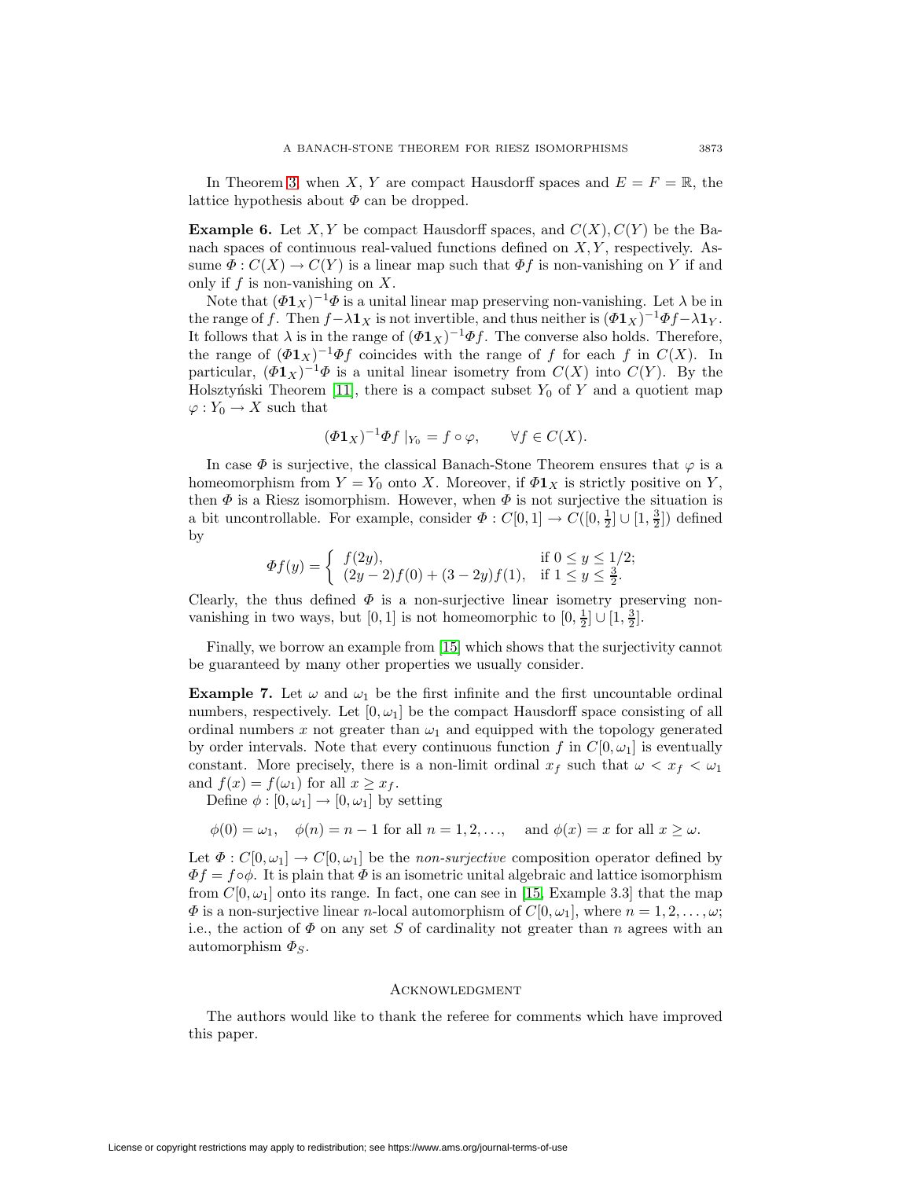In Theorem [3,](#page-2-0) when X, Y are compact Hausdorff spaces and  $E = F = \mathbb{R}$ , the lattice hypothesis about  $\Phi$  can be dropped.

**Example 6.** Let X, Y be compact Hausdorff spaces, and  $C(X)$ ,  $C(Y)$  be the Banach spaces of continuous real-valued functions defined on  $X, Y$ , respectively. Assume  $\Phi: C(X) \to C(Y)$  is a linear map such that  $\Phi f$  is non-vanishing on Y if and only if  $f$  is non-vanishing on  $X$ .

Note that  $(\Phi \mathbf{1}_X)^{-1} \Phi$  is a unital linear map preserving non-vanishing. Let  $\lambda$  be in the range of f. Then  $f - \lambda \mathbf{1}_X$  is not invertible, and thus neither is  $(\Phi \mathbf{1}_X)^{-1} \Phi f - \lambda \mathbf{1}_Y$ . It follows that  $\lambda$  is in the range of  $(\Phi \mathbf{1}_X)^{-1} \Phi f$ . The converse also holds. Therefore, the range of  $(\Phi \mathbf{1}_X)^{-1} \Phi f$  coincides with the range of f for each f in  $C(X)$ . In particular,  $(\Phi \mathbf{1}_X)^{-1} \Phi$  is a unital linear isometry from  $C(X)$  into  $C(Y)$ . By the Holsztyński Theorem [\[11\]](#page-5-14), there is a compact subset  $Y_0$  of Y and a quotient map  $\varphi: Y_0 \to X$  such that

$$
(\Phi \mathbf{1}_X)^{-1} \Phi f \mid_{Y_0} = f \circ \varphi, \qquad \forall f \in C(X).
$$

In case  $\Phi$  is surjective, the classical Banach-Stone Theorem ensures that  $\varphi$  is a homeomorphism from  $Y = Y_0$  onto X. Moreover, if  $\Phi 1_X$  is strictly positive on Y, then  $\Phi$  is a Riesz isomorphism. However, when  $\Phi$  is not surjective the situation is a bit uncontrollable. For example, consider  $\Phi: C[0,1] \to C([0,\frac{1}{2}] \cup [1,\frac{3}{2}])$  defined by

$$
\Phi f(y) = \begin{cases} f(2y), & \text{if } 0 \le y \le 1/2; \\ (2y-2)f(0) + (3-2y)f(1), & \text{if } 1 \le y \le \frac{3}{2}. \end{cases}
$$

Clearly, the thus defined  $\Phi$  is a non-surjective linear isometry preserving nonvanishing in two ways, but  $[0, 1]$  is not homeomorphic to  $[0, \frac{1}{2}] \cup [1, \frac{3}{2}]$ .

Finally, we borrow an example from [\[15\]](#page-5-15) which shows that the surjectivity cannot be guaranteed by many other properties we usually consider.

**Example 7.** Let  $\omega$  and  $\omega_1$  be the first infinite and the first uncountable ordinal numbers, respectively. Let  $[0, \omega_1]$  be the compact Hausdorff space consisting of all ordinal numbers x not greater than  $\omega_1$  and equipped with the topology generated by order intervals. Note that every continuous function f in  $C[0, \omega_1]$  is eventually constant. More precisely, there is a non-limit ordinal  $x_f$  such that  $\omega < x_f < \omega_1$ and  $f(x) = f(\omega_1)$  for all  $x \geq x_f$ .

Define  $\phi : [0, \omega_1] \to [0, \omega_1]$  by setting

$$
\phi(0) = \omega_1, \quad \phi(n) = n - 1 \text{ for all } n = 1, 2, \dots, \quad \text{and } \phi(x) = x \text{ for all } x \ge \omega.
$$

Let  $\Phi: C[0,\omega_1] \to C[0,\omega_1]$  be the *non-surjective* composition operator defined by  $\Phi f = f \circ \phi$ . It is plain that  $\Phi$  is an isometric unital algebraic and lattice isomorphism from  $C[0, \omega_1]$  onto its range. In fact, one can see in [\[15,](#page-5-15) Example 3.3] that the map  $\Phi$  is a non-surjective linear n-local automorphism of  $C[0, \omega_1]$ , where  $n = 1, 2, \ldots, \omega$ ; i.e., the action of  $\Phi$  on any set S of cardinality not greater than n agrees with an automorphism  $\Phi_S$ .

## Acknowledgment

The authors would like to thank the referee for comments which have improved this paper.